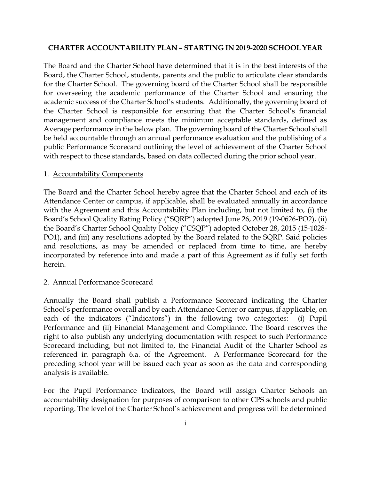#### **CHARTER ACCOUNTABILITY PLAN – STARTING IN 2019-2020 SCHOOL YEAR**

The Board and the Charter School have determined that it is in the best interests of the Board, the Charter School, students, parents and the public to articulate clear standards for the Charter School. The governing board of the Charter School shall be responsible for overseeing the academic performance of the Charter School and ensuring the academic success of the Charter School's students. Additionally, the governing board of the Charter School is responsible for ensuring that the Charter School's financial management and compliance meets the minimum acceptable standards, defined as Average performance in the below plan. The governing board of the Charter School shall be held accountable through an annual performance evaluation and the publishing of a public Performance Scorecard outlining the level of achievement of the Charter School with respect to those standards, based on data collected during the prior school year.

#### 1. Accountability Components

The Board and the Charter School hereby agree that the Charter School and each of its Attendance Center or campus, if applicable, shall be evaluated annually in accordance with the Agreement and this Accountability Plan including, but not limited to, (i) the Board's School Quality Rating Policy ("SQRP") adopted June 26, 2019 (19-0626-PO2), (ii) the Board's Charter School Quality Policy ("CSQP") adopted October 28, 2015 (15-1028- PO1), and (iii) any resolutions adopted by the Board related to the SQRP. Said policies and resolutions, as may be amended or replaced from time to time, are hereby incorporated by reference into and made a part of this Agreement as if fully set forth herein.

#### 2. Annual Performance Scorecard

Annually the Board shall publish a Performance Scorecard indicating the Charter School's performance overall and by each Attendance Center or campus, if applicable, on each of the indicators ("Indicators") in the following two categories: (i) Pupil Performance and (ii) Financial Management and Compliance. The Board reserves the right to also publish any underlying documentation with respect to such Performance Scorecard including, but not limited to, the Financial Audit of the Charter School as referenced in paragraph 6.a. of the Agreement. A Performance Scorecard for the preceding school year will be issued each year as soon as the data and corresponding analysis is available.

For the Pupil Performance Indicators, the Board will assign Charter Schools an accountability designation for purposes of comparison to other CPS schools and public reporting. The level of the Charter School's achievement and progress will be determined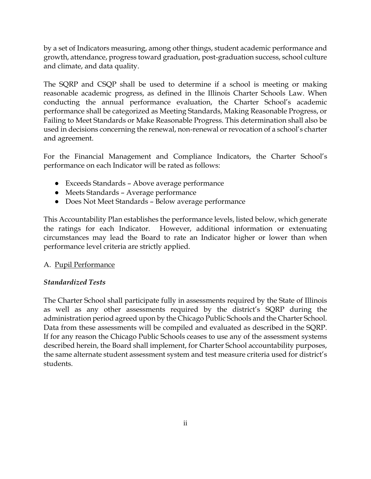by a set of Indicators measuring, among other things, student academic performance and growth, attendance, progress toward graduation, post-graduation success, school culture and climate, and data quality.

The SQRP and CSQP shall be used to determine if a school is meeting or making reasonable academic progress, as defined in the Illinois Charter Schools Law. When conducting the annual performance evaluation, the Charter School's academic performance shall be categorized as Meeting Standards, Making Reasonable Progress, or Failing to Meet Standards or Make Reasonable Progress. This determination shall also be used in decisions concerning the renewal, non-renewal or revocation of a school's charter and agreement.

For the Financial Management and Compliance Indicators, the Charter School's performance on each Indicator will be rated as follows:

- Exceeds Standards Above average performance
- Meets Standards Average performance
- Does Not Meet Standards Below average performance

This Accountability Plan establishes the performance levels, listed below, which generate the ratings for each Indicator. However, additional information or extenuating circumstances may lead the Board to rate an Indicator higher or lower than when performance level criteria are strictly applied.

#### A. Pupil Performance

# *Standardized Tests*

The Charter School shall participate fully in assessments required by the State of Illinois as well as any other assessments required by the district's SQRP during the administration period agreed upon by the Chicago Public Schools and the Charter School. Data from these assessments will be compiled and evaluated as described in the SQRP. If for any reason the Chicago Public Schools ceases to use any of the assessment systems described herein, the Board shall implement, for Charter School accountability purposes, the same alternate student assessment system and test measure criteria used for district's students.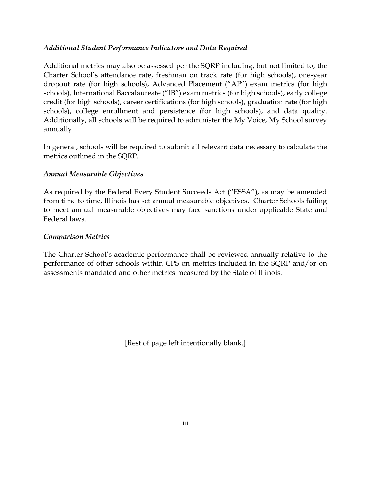### *Additional Student Performance Indicators and Data Required*

Additional metrics may also be assessed per the SQRP including, but not limited to, the Charter School's attendance rate, freshman on track rate (for high schools), one-year dropout rate (for high schools), Advanced Placement ("AP") exam metrics (for high schools), International Baccalaureate ("IB") exam metrics (for high schools), early college credit (for high schools), career certifications (for high schools), graduation rate (for high schools), college enrollment and persistence (for high schools), and data quality. Additionally, all schools will be required to administer the My Voice, My School survey annually.

In general, schools will be required to submit all relevant data necessary to calculate the metrics outlined in the SQRP.

## *Annual Measurable Objectives*

As required by the Federal Every Student Succeeds Act ("ESSA"), as may be amended from time to time, Illinois has set annual measurable objectives. Charter Schools failing to meet annual measurable objectives may face sanctions under applicable State and Federal laws.

### *Comparison Metrics*

The Charter School's academic performance shall be reviewed annually relative to the performance of other schools within CPS on metrics included in the SQRP and/or on assessments mandated and other metrics measured by the State of Illinois.

[Rest of page left intentionally blank.]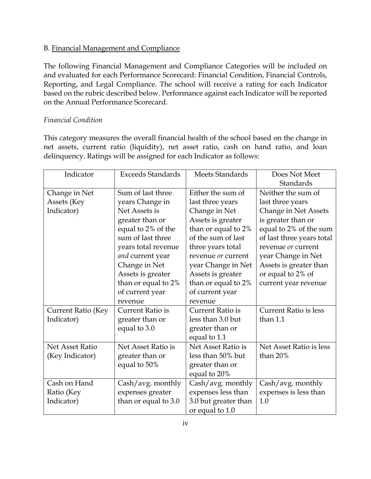## B. Financial Management and Compliance

The following Financial Management and Compliance Categories will be included on and evaluated for each Performance Scorecard: Financial Condition, Financial Controls, Reporting, and Legal Compliance. The school will receive a rating for each Indicator based on the rubric described below. Performance against each Indicator will be reported on the Annual Performance Scorecard.

## *Financial Condition*

This category measures the overall financial health of the school based on the change in net assets, current ratio (liquidity), net asset ratio, cash on hand ratio, and loan delinquency. Ratings will be assigned for each Indicator as follows:

| Indicator                 | <b>Exceeds Standards</b> | Meets Standards      | Does Not Meet                |
|---------------------------|--------------------------|----------------------|------------------------------|
|                           |                          |                      | Standards                    |
| Change in Net             | Sum of last three        | Either the sum of    | Neither the sum of           |
| Assets (Key               | years Change in          | last three years     | last three years             |
| Indicator)                | Net Assets is            | Change in Net        | Change in Net Assets         |
|                           | greater than or          | Assets is greater    | is greater than or           |
|                           | equal to 2% of the       | than or equal to 2%  | equal to 2% of the sum       |
|                           | sum of last three        | of the sum of last   | of last three years total    |
|                           | years total revenue      | three years total    | revenue or current           |
|                           | and current year         | revenue or current   | year Change in Net           |
|                           | Change in Net            | year Change in Net   | Assets is greater than       |
|                           | Assets is greater        | Assets is greater    | or equal to 2% of            |
|                           | than or equal to 2%      | than or equal to 2%  | current year revenue         |
|                           | of current year          | of current year      |                              |
|                           | revenue                  | revenue              |                              |
| <b>Current Ratio (Key</b> | <b>Current Ratio is</b>  | Current Ratio is     | <b>Current Ratio is less</b> |
| Indicator)                | greater than or          | less than 3.0 but    | than 1.1                     |
|                           | equal to 3.0             | greater than or      |                              |
|                           |                          | equal to 1.1         |                              |
| <b>Net Asset Ratio</b>    | Net Asset Ratio is       | Net Asset Ratio is   | Net Asset Ratio is less      |
| (Key Indicator)           | greater than or          | less than 50% but    | than 20%                     |
|                           | equal to 50%             | greater than or      |                              |
|                           |                          | equal to 20%         |                              |
| Cash on Hand              | Cash/avg. monthly        | Cash/avg. monthly    | Cash/avg. monthly            |
| Ratio (Key                | expenses greater         | expenses less than   | expenses is less than        |
| Indicator)                | than or equal to 3.0     | 3.0 but greater than | 1.0                          |
|                           |                          | or equal to 1.0      |                              |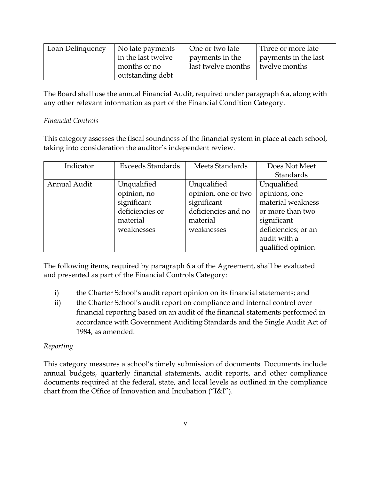| Loan Delinquency | No late payments   | One or two late    | Three or more late   |
|------------------|--------------------|--------------------|----------------------|
|                  | in the last twelve | payments in the    | payments in the last |
|                  | months or no       | last twelve months | twelve months        |
|                  | outstanding debt   |                    |                      |

The Board shall use the annual Financial Audit, required under paragraph 6.a, along with any other relevant information as part of the Financial Condition Category.

# *Financial Controls*

This category assesses the fiscal soundness of the financial system in place at each school, taking into consideration the auditor's independent review.

| Indicator    | <b>Exceeds Standards</b> | Meets Standards     | Does Not Meet       |
|--------------|--------------------------|---------------------|---------------------|
|              |                          |                     | Standards           |
| Annual Audit | Unqualified              | Unqualified         | Unqualified         |
|              | opinion, no              | opinion, one or two | opinions, one       |
|              | significant              | significant         | material weakness   |
|              | deficiencies or          | deficiencies and no | or more than two    |
|              | material                 | material            | significant         |
|              | weaknesses               | weaknesses          | deficiencies; or an |
|              |                          |                     | audit with a        |
|              |                          |                     | qualified opinion   |

The following items, required by paragraph 6.a of the Agreement, shall be evaluated and presented as part of the Financial Controls Category:

- i) the Charter School's audit report opinion on its financial statements; and
- ii) the Charter School's audit report on compliance and internal control over financial reporting based on an audit of the financial statements performed in accordance with Government Auditing Standards and the Single Audit Act of 1984, as amended.

# *Reporting*

This category measures a school's timely submission of documents. Documents include annual budgets, quarterly financial statements, audit reports, and other compliance documents required at the federal, state, and local levels as outlined in the compliance chart from the Office of Innovation and Incubation ("I&I").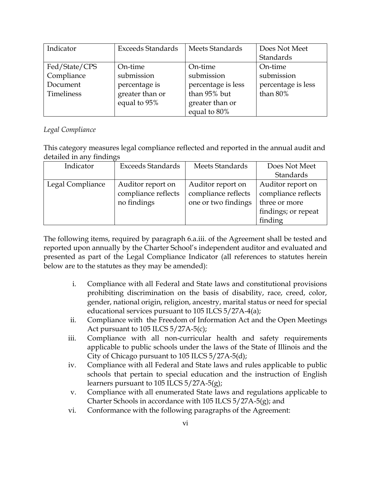| Indicator     | <b>Exceeds Standards</b> | Meets Standards    | Does Not Meet      |
|---------------|--------------------------|--------------------|--------------------|
|               |                          |                    | Standards          |
| Fed/State/CPS | On-time                  | On-time            | On-time            |
| Compliance    | submission               | submission         | submission         |
| Document      | percentage is            | percentage is less | percentage is less |
| Timeliness    | greater than or          | than 95% but       | than $80\%$        |
|               | equal to 95%             | greater than or    |                    |
|               |                          | equal to 80%       |                    |

## *Legal Compliance*

This category measures legal compliance reflected and reported in the annual audit and detailed in any findings

| Indicator        | <b>Exceeds Standards</b> | Meets Standards     | Does Not Meet       |
|------------------|--------------------------|---------------------|---------------------|
|                  |                          |                     | Standards           |
| Legal Compliance | Auditor report on        | Auditor report on   | Auditor report on   |
|                  | compliance reflects      | compliance reflects | compliance reflects |
|                  | no findings              | one or two findings | three or more       |
|                  |                          |                     | findings; or repeat |
|                  |                          |                     | finding             |

The following items, required by paragraph 6.a.iii. of the Agreement shall be tested and reported upon annually by the Charter School's independent auditor and evaluated and presented as part of the Legal Compliance Indicator (all references to statutes herein below are to the statutes as they may be amended):

- i. Compliance with all Federal and State laws and constitutional provisions prohibiting discrimination on the basis of disability, race, creed, color, gender, national origin, religion, ancestry, marital status or need for special educational services pursuant to 105 ILCS 5/27A-4(a);
- ii. Compliance with the Freedom of Information Act and the Open Meetings Act pursuant to 105 ILCS  $5/27A-5(c)$ ;
- iii. Compliance with all non-curricular health and safety requirements applicable to public schools under the laws of the State of Illinois and the City of Chicago pursuant to 105 ILCS 5/27A-5(d);
- iv. Compliance with all Federal and State laws and rules applicable to public schools that pertain to special education and the instruction of English learners pursuant to 105 ILCS 5/27A-5(g);
- v. Compliance with all enumerated State laws and regulations applicable to Charter Schools in accordance with 105 ILCS 5/27A-5(g); and
- vi. Conformance with the following paragraphs of the Agreement: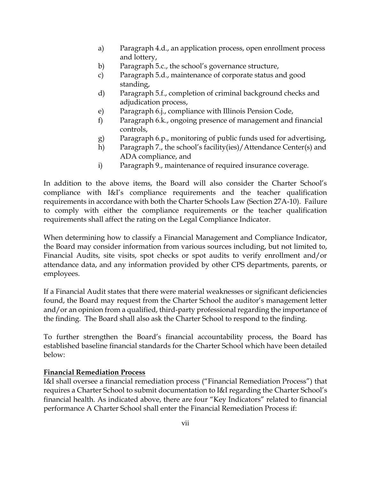- a) Paragraph 4.d., an application process, open enrollment process and lottery,
- b) Paragraph 5.c., the school's governance structure,
- c) Paragraph 5.d., maintenance of corporate status and good standing,
- d) Paragraph 5.f., completion of criminal background checks and adjudication process,
- e) Paragraph 6.j., compliance with Illinois Pension Code,
- f) Paragraph 6.k., ongoing presence of management and financial controls,
- g) Paragraph 6.p., monitoring of public funds used for advertising,
- h) Paragraph 7., the school's facility(ies)/Attendance Center(s) and ADA compliance, and
- i) Paragraph 9., maintenance of required insurance coverage.

In addition to the above items, the Board will also consider the Charter School's compliance with I&I's compliance requirements and the teacher qualification requirements in accordance with both the Charter Schools Law (Section 27A-10). Failure to comply with either the compliance requirements or the teacher qualification requirements shall affect the rating on the Legal Compliance Indicator.

When determining how to classify a Financial Management and Compliance Indicator, the Board may consider information from various sources including, but not limited to, Financial Audits, site visits, spot checks or spot audits to verify enrollment and/or attendance data, and any information provided by other CPS departments, parents, or employees.

If a Financial Audit states that there were material weaknesses or significant deficiencies found, the Board may request from the Charter School the auditor's management letter and/or an opinion from a qualified, third-party professional regarding the importance of the finding. The Board shall also ask the Charter School to respond to the finding.

To further strengthen the Board's financial accountability process, the Board has established baseline financial standards for the Charter School which have been detailed below:

#### **Financial Remediation Process**

I&I shall oversee a financial remediation process ("Financial Remediation Process") that requires a Charter School to submit documentation to I&I regarding the Charter School's financial health. As indicated above, there are four "Key Indicators" related to financial performance A Charter School shall enter the Financial Remediation Process if: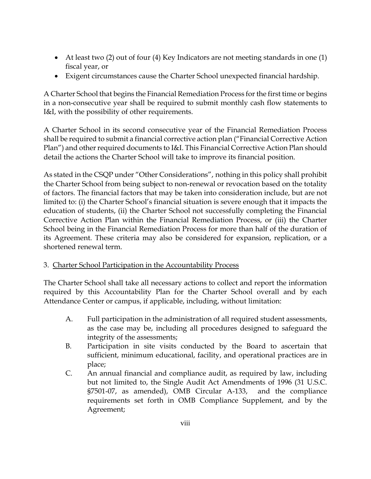- At least two (2) out of four (4) Key Indicators are not meeting standards in one (1) fiscal year, or
- Exigent circumstances cause the Charter School unexpected financial hardship.

A Charter School that begins the Financial Remediation Process for the first time or begins in a non-consecutive year shall be required to submit monthly cash flow statements to I&I, with the possibility of other requirements.

A Charter School in its second consecutive year of the Financial Remediation Process shall be required to submit a financial corrective action plan ("Financial Corrective Action Plan") and other required documents to I&I. This Financial Corrective Action Plan should detail the actions the Charter School will take to improve its financial position.

As stated in the CSQP under "Other Considerations", nothing in this policy shall prohibit the Charter School from being subject to non-renewal or revocation based on the totality of factors. The financial factors that may be taken into consideration include, but are not limited to: (i) the Charter School's financial situation is severe enough that it impacts the education of students, (ii) the Charter School not successfully completing the Financial Corrective Action Plan within the Financial Remediation Process, or (iii) the Charter School being in the Financial Remediation Process for more than half of the duration of its Agreement. These criteria may also be considered for expansion, replication, or a shortened renewal term.

#### 3. Charter School Participation in the Accountability Process

The Charter School shall take all necessary actions to collect and report the information required by this Accountability Plan for the Charter School overall and by each Attendance Center or campus, if applicable, including, without limitation:

- A. Full participation in the administration of all required student assessments, as the case may be, including all procedures designed to safeguard the integrity of the assessments;
- B. Participation in site visits conducted by the Board to ascertain that sufficient, minimum educational, facility, and operational practices are in place;
- C. An annual financial and compliance audit, as required by law, including but not limited to, the Single Audit Act Amendments of 1996 (31 U.S.C. §7501-07, as amended), OMB Circular A-133, and the compliance requirements set forth in OMB Compliance Supplement, and by the Agreement;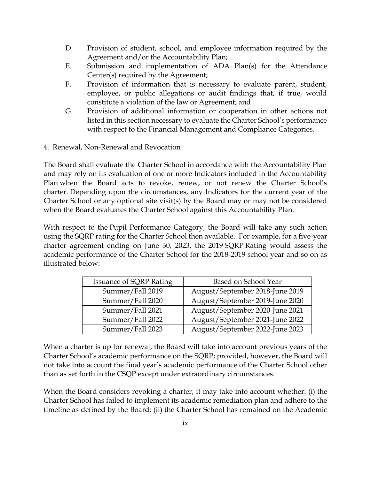- D. Provision of student, school, and employee information required by the Agreement and/or the Accountability Plan;
- E. Submission and implementation of ADA Plan(s) for the Attendance Center(s) required by the Agreement;
- F. Provision of information that is necessary to evaluate parent, student, employee, or public allegations or audit findings that, if true, would constitute a violation of the law or Agreement; and
- G. Provision of additional information or cooperation in other actions not listed in this section necessary to evaluate the Charter School's performance with respect to the Financial Management and Compliance Categories.

#### 4. Renewal, Non-Renewal and Revocation

The Board shall evaluate the Charter School in accordance with the Accountability Plan and may rely on its evaluation of one or more Indicators included in the Accountability Plan when the Board acts to revoke, renew, or not renew the Charter School's charter. Depending upon the circumstances, any Indicators for the current year of the Charter School or any optional site visit(s) by the Board may or may not be considered when the Board evaluates the Charter School against this Accountability Plan.

With respect to the Pupil Performance Category, the Board will take any such action using the SQRP rating for the Charter School then available. For example, for a five-year charter agreement ending on June 30, 2023, the 2019 SQRP Rating would assess the academic performance of the Charter School for the 2018-2019 school year and so on as illustrated below:

| <b>Issuance of SQRP Rating</b> | Based on School Year            |
|--------------------------------|---------------------------------|
| Summer/Fall 2019               | August/September 2018-June 2019 |
| Summer/Fall 2020               | August/September 2019-June 2020 |
| Summer/Fall 2021               | August/September 2020-June 2021 |
| Summer/Fall 2022               | August/September 2021-June 2022 |
| Summer/Fall 2023               | August/September 2022-June 2023 |

When a charter is up for renewal, the Board will take into account previous years of the Charter School's academic performance on the SQRP; provided, however, the Board will not take into account the final year's academic performance of the Charter School other than as set forth in the CSQP except under extraordinary circumstances.

When the Board considers revoking a charter, it may take into account whether: (i) the Charter School has failed to implement its academic remediation plan and adhere to the timeline as defined by the Board; (ii) the Charter School has remained on the Academic